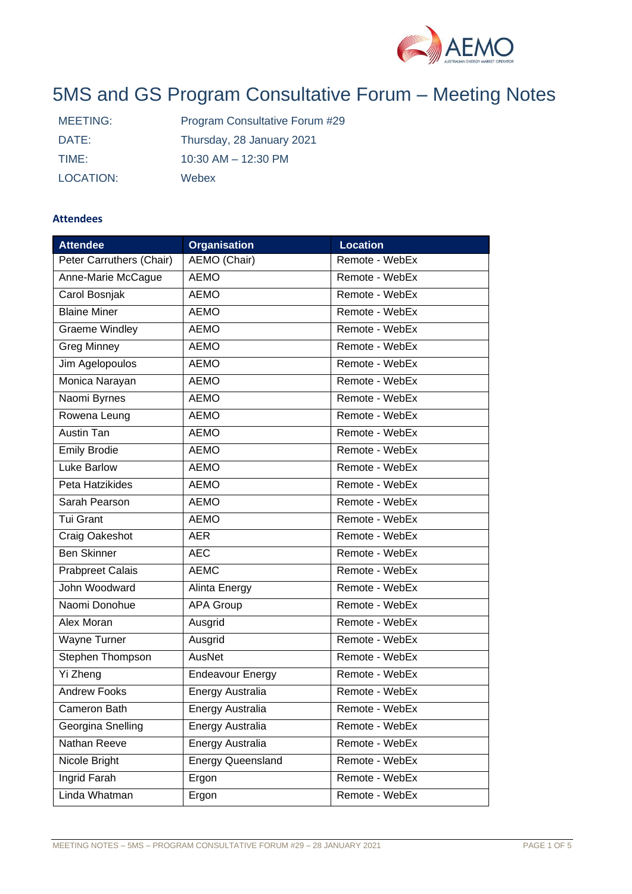

# 5MS and GS Program Consultative Forum – Meeting Notes

| MEETING:  | Program Consultative Forum #29 |
|-----------|--------------------------------|
| DATE:     | Thursday, 28 January 2021      |
| TIME:     | $10:30$ AM $- 12:30$ PM        |
| LOCATION: | Webex                          |

## **Attendees**

| <b>Attendee</b>          | <b>Organisation</b>      | <b>Location</b> |  |  |
|--------------------------|--------------------------|-----------------|--|--|
| Peter Carruthers (Chair) | AEMO (Chair)             | Remote - WebEx  |  |  |
| Anne-Marie McCague       | <b>AEMO</b>              | Remote - WebEx  |  |  |
| Carol Bosnjak            | <b>AEMO</b>              | Remote - WebEx  |  |  |
| <b>Blaine Miner</b>      | <b>AEMO</b>              | Remote - WebEx  |  |  |
| Graeme Windley           | <b>AEMO</b>              | Remote - WebEx  |  |  |
| <b>Greg Minney</b>       | <b>AEMO</b>              | Remote - WebEx  |  |  |
| Jim Agelopoulos          | <b>AEMO</b>              | Remote - WebEx  |  |  |
| Monica Narayan           | <b>AEMO</b>              | Remote - WebEx  |  |  |
| Naomi Byrnes             | <b>AEMO</b>              | Remote - WebEx  |  |  |
| Rowena Leung             | <b>AEMO</b>              | Remote - WebEx  |  |  |
| Austin Tan               | <b>AEMO</b>              | Remote - WebEx  |  |  |
| <b>Emily Brodie</b>      | <b>AEMO</b>              | Remote - WebEx  |  |  |
| Luke Barlow              | <b>AEMO</b>              | Remote - WebEx  |  |  |
| Peta Hatzikides          | <b>AEMO</b>              | Remote - WebEx  |  |  |
| Sarah Pearson            | <b>AEMO</b>              | Remote - WebEx  |  |  |
| <b>Tui Grant</b>         | <b>AEMO</b>              | Remote - WebEx  |  |  |
| Craig Oakeshot           | <b>AER</b>               | Remote - WebEx  |  |  |
| <b>Ben Skinner</b>       | <b>AEC</b>               | Remote - WebEx  |  |  |
| <b>Prabpreet Calais</b>  | <b>AEMC</b>              | Remote - WebEx  |  |  |
| John Woodward            | Alinta Energy            | Remote - WebEx  |  |  |
| Naomi Donohue            | <b>APA Group</b>         | Remote - WebEx  |  |  |
| Alex Moran               | Ausgrid                  | Remote - WebEx  |  |  |
| Wayne Turner             | Ausgrid                  | Remote - WebEx  |  |  |
| Stephen Thompson         | AusNet                   | Remote - WebEx  |  |  |
| Yi Zheng                 | <b>Endeavour Energy</b>  | Remote - WebEx  |  |  |
| <b>Andrew Fooks</b>      | Energy Australia         | Remote - WebEx  |  |  |
| Cameron Bath             | Energy Australia         | Remote - WebEx  |  |  |
| Georgina Snelling        | Energy Australia         | Remote - WebEx  |  |  |
| Nathan Reeve             | Energy Australia         | Remote - WebEx  |  |  |
| Nicole Bright            | <b>Energy Queensland</b> | Remote - WebEx  |  |  |
| Ingrid Farah             | Ergon                    | Remote - WebEx  |  |  |
| Linda Whatman            | Ergon                    | Remote - WebEx  |  |  |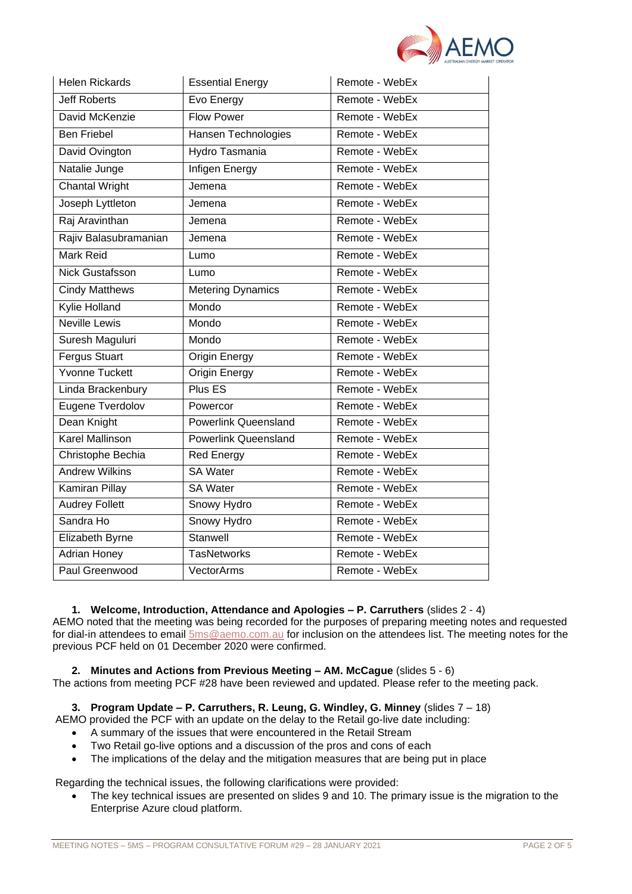

| <b>Helen Rickards</b>        | <b>Essential Energy</b>     | Remote - WebEx |  |  |
|------------------------------|-----------------------------|----------------|--|--|
| <b>Jeff Roberts</b>          | Evo Energy                  | Remote - WebEx |  |  |
| David McKenzie               | <b>Flow Power</b>           | Remote - WebEx |  |  |
| <b>Ben Friebel</b>           | Hansen Technologies         | Remote - WebEx |  |  |
| David Ovington               | <b>Hydro Tasmania</b>       | Remote - WebEx |  |  |
| Natalie Junge                | Infigen Energy              | Remote - WebEx |  |  |
| <b>Chantal Wright</b>        | Jemena                      | Remote - WebEx |  |  |
| Joseph Lyttleton             | Jemena                      | Remote - WebEx |  |  |
| Raj Aravinthan               | Jemena                      | Remote - WebEx |  |  |
| Rajiv Balasubramanian        | Jemena                      | Remote - WebEx |  |  |
| Mark Reid                    | Lumo                        | Remote - WebEx |  |  |
| Nick Gustafsson              | Lumo                        | Remote - WebEx |  |  |
| <b>Cindy Matthews</b>        | <b>Metering Dynamics</b>    | Remote - WebEx |  |  |
| Kylie Holland                | Mondo                       | Remote - WebEx |  |  |
| <b>Neville Lewis</b>         | Mondo                       | Remote - WebEx |  |  |
| Suresh Maguluri              | Mondo                       | Remote - WebEx |  |  |
| <b>Fergus Stuart</b>         | Origin Energy               | Remote - WebEx |  |  |
| <b>Yvonne Tuckett</b>        | <b>Origin Energy</b>        | Remote - WebEx |  |  |
| Linda Brackenbury            | Plus ES                     | Remote - WebEx |  |  |
| Eugene Tverdolov             | Powercor                    | Remote - WebEx |  |  |
| Dean Knight                  | <b>Powerlink Queensland</b> | Remote - WebEx |  |  |
| <b>Karel Mallinson</b>       | <b>Powerlink Queensland</b> | Remote - WebEx |  |  |
| Christophe Bechia            | <b>Red Energy</b>           | Remote - WebEx |  |  |
| <b>Andrew Wilkins</b>        | <b>SA Water</b>             | Remote - WebEx |  |  |
| Kamiran Pillay               | <b>SA Water</b>             | Remote - WebEx |  |  |
| <b>Audrey Follett</b>        | Snowy Hydro                 | Remote - WebEx |  |  |
| Sandra Ho                    | Snowy Hydro                 | Remote - WebEx |  |  |
| Elizabeth Byrne              | Stanwell                    | Remote - WebEx |  |  |
| <b>Adrian Honey</b>          | <b>TasNetworks</b>          | Remote - WebEx |  |  |
| Paul Greenwood<br>VectorArms |                             | Remote - WebEx |  |  |

**1. Welcome, Introduction, Attendance and Apologies – P. Carruthers** (slides 2 - 4)

AEMO noted that the meeting was being recorded for the purposes of preparing meeting notes and requested for dial-in attendees to email [5ms@aemo.com.au](mailto:5ms@aemo.com.au) for inclusion on the attendees list. The meeting notes for the previous PCF held on 01 December 2020 were confirmed.

**2. Minutes and Actions from Previous Meeting – AM. McCague** (slides 5 - 6)

The actions from meeting PCF #28 have been reviewed and updated. Please refer to the meeting pack.

**3. Program Update – P. Carruthers, R. Leung, G. Windley, G. Minney** (slides 7 – 18)

- AEMO provided the PCF with an update on the delay to the Retail go-live date including:
	- A summary of the issues that were encountered in the Retail Stream
	- Two Retail go-live options and a discussion of the pros and cons of each
	- The implications of the delay and the mitigation measures that are being put in place

Regarding the technical issues, the following clarifications were provided:

• The key technical issues are presented on slides 9 and 10. The primary issue is the migration to the Enterprise Azure cloud platform.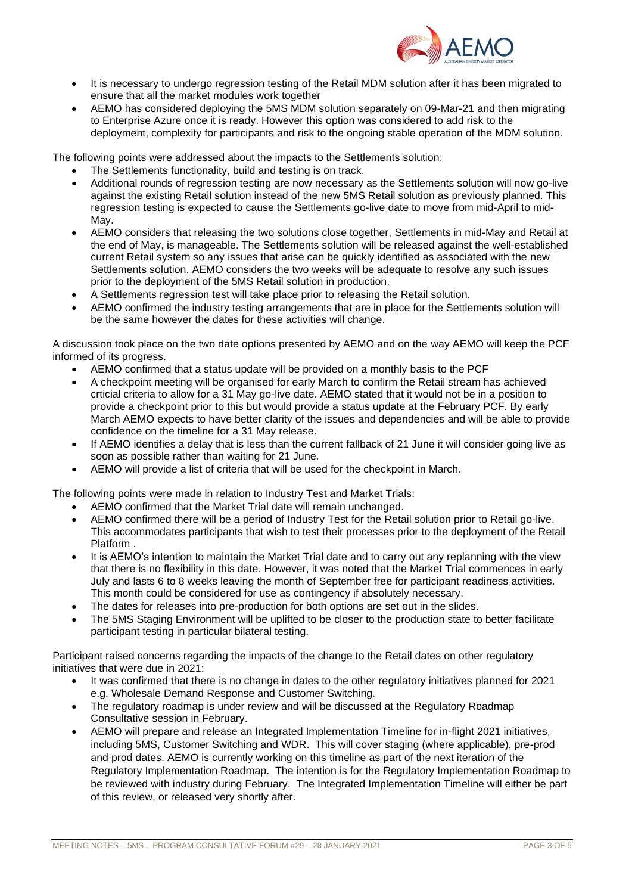

- It is necessary to undergo regression testing of the Retail MDM solution after it has been migrated to ensure that all the market modules work together
- AEMO has considered deploying the 5MS MDM solution separately on 09-Mar-21 and then migrating to Enterprise Azure once it is ready. However this option was considered to add risk to the deployment, complexity for participants and risk to the ongoing stable operation of the MDM solution.

The following points were addressed about the impacts to the Settlements solution:

- The Settlements functionality, build and testing is on track.
- Additional rounds of regression testing are now necessary as the Settlements solution will now go-live against the existing Retail solution instead of the new 5MS Retail solution as previously planned. This regression testing is expected to cause the Settlements go-live date to move from mid-April to mid-May.
- AEMO considers that releasing the two solutions close together, Settlements in mid-May and Retail at the end of May, is manageable. The Settlements solution will be released against the well-established current Retail system so any issues that arise can be quickly identified as associated with the new Settlements solution. AEMO considers the two weeks will be adequate to resolve any such issues prior to the deployment of the 5MS Retail solution in production.
- A Settlements regression test will take place prior to releasing the Retail solution.
- AEMO confirmed the industry testing arrangements that are in place for the Settlements solution will be the same however the dates for these activities will change.

A discussion took place on the two date options presented by AEMO and on the way AEMO will keep the PCF informed of its progress.

- AEMO confirmed that a status update will be provided on a monthly basis to the PCF
- A checkpoint meeting will be organised for early March to confirm the Retail stream has achieved crticial criteria to allow for a 31 May go-live date. AEMO stated that it would not be in a position to provide a checkpoint prior to this but would provide a status update at the February PCF. By early March AEMO expects to have better clarity of the issues and dependencies and will be able to provide confidence on the timeline for a 31 May release.
- If AEMO identifies a delay that is less than the current fallback of 21 June it will consider going live as soon as possible rather than waiting for 21 June.
- AEMO will provide a list of criteria that will be used for the checkpoint in March.

The following points were made in relation to Industry Test and Market Trials:

- AEMO confirmed that the Market Trial date will remain unchanged.
- AEMO confirmed there will be a period of Industry Test for the Retail solution prior to Retail go-live. This accommodates participants that wish to test their processes prior to the deployment of the Retail Platform .
- It is AEMO's intention to maintain the Market Trial date and to carry out any replanning with the view that there is no flexibility in this date. However, it was noted that the Market Trial commences in early July and lasts 6 to 8 weeks leaving the month of September free for participant readiness activities. This month could be considered for use as contingency if absolutely necessary.
- The dates for releases into pre-production for both options are set out in the slides.
- The 5MS Staging Environment will be uplifted to be closer to the production state to better facilitate participant testing in particular bilateral testing.

Participant raised concerns regarding the impacts of the change to the Retail dates on other regulatory initiatives that were due in 2021:

- It was confirmed that there is no change in dates to the other regulatory initiatives planned for 2021 e.g. Wholesale Demand Response and Customer Switching.
- The regulatory roadmap is under review and will be discussed at the Regulatory Roadmap Consultative session in February.
- AEMO will prepare and release an Integrated Implementation Timeline for in-flight 2021 initiatives, including 5MS, Customer Switching and WDR. This will cover staging (where applicable), pre-prod and prod dates. AEMO is currently working on this timeline as part of the next iteration of the Regulatory Implementation Roadmap. The intention is for the Regulatory Implementation Roadmap to be reviewed with industry during February. The Integrated Implementation Timeline will either be part of this review, or released very shortly after.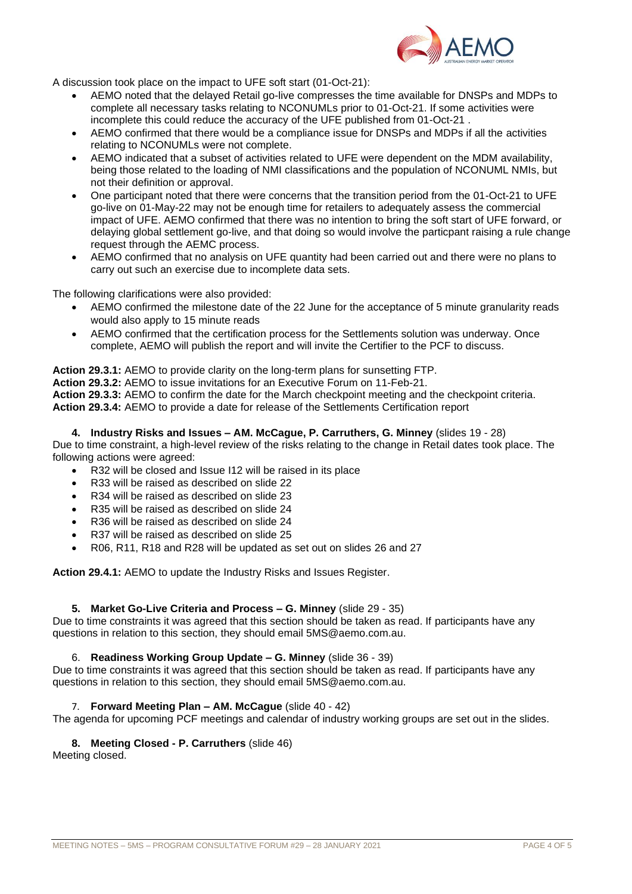

A discussion took place on the impact to UFE soft start (01-Oct-21):

- AEMO noted that the delayed Retail go-live compresses the time available for DNSPs and MDPs to complete all necessary tasks relating to NCONUMLs prior to 01-Oct-21. If some activities were incomplete this could reduce the accuracy of the UFE published from 01-Oct-21 .
- AEMO confirmed that there would be a compliance issue for DNSPs and MDPs if all the activities relating to NCONUMLs were not complete.
- AEMO indicated that a subset of activities related to UFE were dependent on the MDM availability, being those related to the loading of NMI classifications and the population of NCONUML NMIs, but not their definition or approval.
- One participant noted that there were concerns that the transition period from the 01-Oct-21 to UFE go-live on 01-May-22 may not be enough time for retailers to adequately assess the commercial impact of UFE. AEMO confirmed that there was no intention to bring the soft start of UFE forward, or delaying global settlement go-live, and that doing so would involve the particpant raising a rule change request through the AEMC process.
- AEMO confirmed that no analysis on UFE quantity had been carried out and there were no plans to carry out such an exercise due to incomplete data sets.

The following clarifications were also provided:

- AEMO confirmed the milestone date of the 22 June for the acceptance of 5 minute granularity reads would also apply to 15 minute reads
- AEMO confirmed that the certification process for the Settlements solution was underway. Once complete, AEMO will publish the report and will invite the Certifier to the PCF to discuss.

#### **Action 29.3.1:** AEMO to provide clarity on the long-term plans for sunsetting FTP.

**Action 29.3.2:** AEMO to issue invitations for an Executive Forum on 11-Feb-21.

**Action 29.3.3:** AEMO to confirm the date for the March checkpoint meeting and the checkpoint criteria. **Action 29.3.4:** AEMO to provide a date for release of the Settlements Certification report

#### **4. Industry Risks and Issues – AM. McCague, P. Carruthers, G. Minney** (slides 19 - 28)

Due to time constraint, a high-level review of the risks relating to the change in Retail dates took place. The following actions were agreed:

- R32 will be closed and Issue I12 will be raised in its place
- R33 will be raised as described on slide 22
- R34 will be raised as described on slide 23
- R35 will be raised as described on slide 24
- R36 will be raised as described on slide 24
- R37 will be raised as described on slide 25
- R06, R11, R18 and R28 will be updated as set out on slides 26 and 27

**Action 29.4.1:** AEMO to update the Industry Risks and Issues Register.

## **5. Market Go-Live Criteria and Process – G. Minney** (slide 29 - 35)

Due to time constraints it was agreed that this section should be taken as read. If participants have any questions in relation to this section, they should email 5MS@aemo.com.au.

#### 6. **Readiness Working Group Update – G. Minney** (slide 36 - 39)

Due to time constraints it was agreed that this section should be taken as read. If participants have any questions in relation to this section, they should email 5MS@aemo.com.au.

## 7. **Forward Meeting Plan – AM. McCague** (slide 40 - 42)

The agenda for upcoming PCF meetings and calendar of industry working groups are set out in the slides.

## **8. Meeting Closed - P. Carruthers** (slide 46)

Meeting closed.